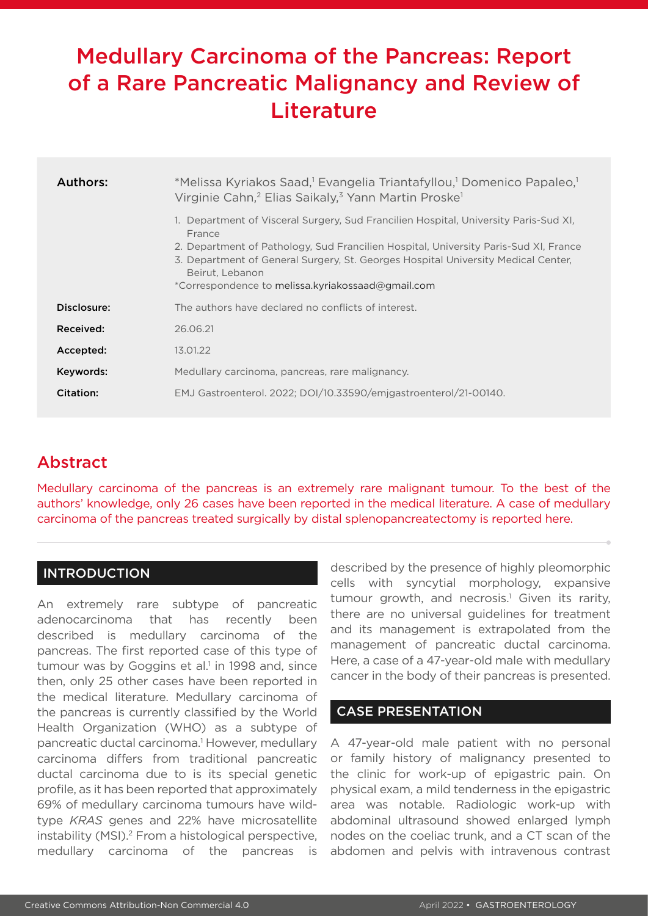# Medullary Carcinoma of the Pancreas: Report of a Rare Pancreatic Malignancy and Review of **Literature**

| Authors:    | *Melissa Kyriakos Saad, <sup>1</sup> Evangelia Triantafyllou, <sup>1</sup> Domenico Papaleo, <sup>1</sup><br>Virginie Cahn, <sup>2</sup> Elias Saikaly, <sup>3</sup> Yann Martin Proske <sup>1</sup><br>1. Department of Visceral Surgery, Sud Francilien Hospital, University Paris-Sud XI,<br>France<br>2. Department of Pathology, Sud Francilien Hospital, University Paris-Sud XI, France<br>3. Department of General Surgery, St. Georges Hospital University Medical Center,<br>Beirut, Lebanon<br>*Correspondence to melissa.kyriakossaad@gmail.com |
|-------------|-------------------------------------------------------------------------------------------------------------------------------------------------------------------------------------------------------------------------------------------------------------------------------------------------------------------------------------------------------------------------------------------------------------------------------------------------------------------------------------------------------------------------------------------------------------|
| Disclosure: | The authors have declared no conflicts of interest.                                                                                                                                                                                                                                                                                                                                                                                                                                                                                                         |
| Received:   | 26.06.21                                                                                                                                                                                                                                                                                                                                                                                                                                                                                                                                                    |
| Accepted:   | 13.01.22                                                                                                                                                                                                                                                                                                                                                                                                                                                                                                                                                    |
| Keywords:   | Medullary carcinoma, pancreas, rare malignancy.                                                                                                                                                                                                                                                                                                                                                                                                                                                                                                             |
| Citation:   | EMJ Gastroenterol. 2022; DOI/10.33590/emigastroenterol/21-00140.                                                                                                                                                                                                                                                                                                                                                                                                                                                                                            |

## Abstract

Medullary carcinoma of the pancreas is an extremely rare malignant tumour. To the best of the authors' knowledge, only 26 cases have been reported in the medical literature. A case of medullary carcinoma of the pancreas treated surgically by distal splenopancreatectomy is reported here.

## INTRODUCTION

An extremely rare subtype of pancreatic adenocarcinoma that has recently been described is medullary carcinoma of the pancreas. The first reported case of this type of tumour was by Goggins et al.<sup>1</sup> in 1998 and, since then, only 25 other cases have been reported in the medical literature. Medullary carcinoma of the pancreas is currently classified by the World Health Organization (WHO) as a subtype of pancreatic ductal carcinoma.<sup>1</sup> However, medullary carcinoma differs from traditional pancreatic ductal carcinoma due to is its special genetic profile, as it has been reported that approximately 69% of medullary carcinoma tumours have wildtype *KRAS* genes and 22% have microsatellite instability (MSI).<sup>2</sup> From a histological perspective, medullary carcinoma of the pancreas is

described by the presence of highly pleomorphic cells with syncytial morphology, expansive tumour growth, and necrosis.<sup>1</sup> Given its rarity, there are no universal guidelines for treatment and its management is extrapolated from the management of pancreatic ductal carcinoma. Here, a case of a 47-year-old male with medullary cancer in the body of their pancreas is presented.

## CASE PRESENTATION

A 47-year-old male patient with no personal or family history of malignancy presented to the clinic for work-up of epigastric pain. On physical exam, a mild tenderness in the epigastric area was notable. Radiologic work-up with abdominal ultrasound showed enlarged lymph nodes on the coeliac trunk, and a CT scan of the abdomen and pelvis with intravenous contrast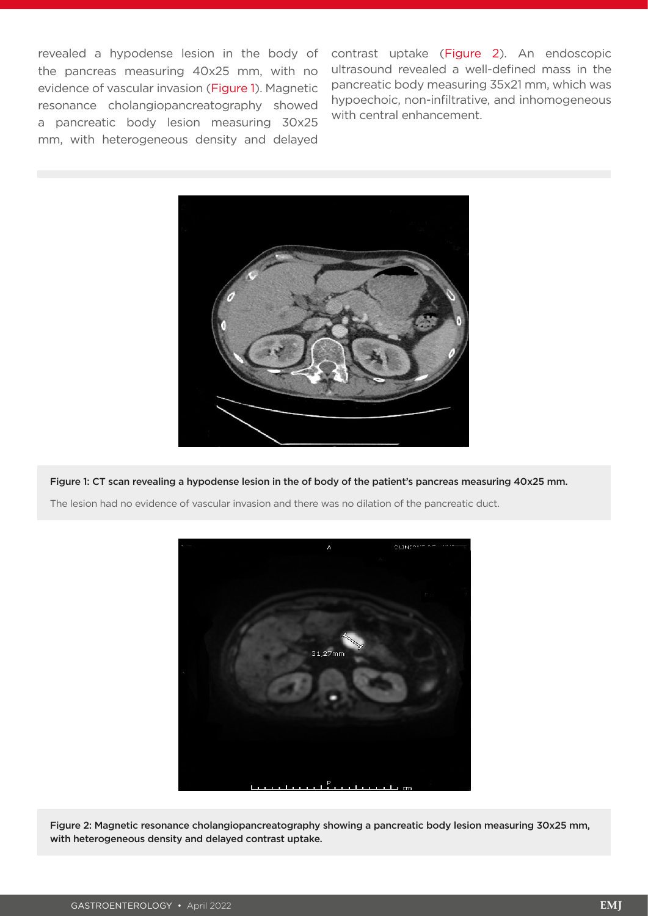the pancreas measuring 40x25 mm, with no evidence of vascular invasion (Figure 1). Magnetic resonance cholangiopancreatography showed a pancreatic body lesion measuring 30x25 mm, with heterogeneous density and delayed

revealed a hypodense lesion in the body of contrast uptake (Figure 2). An endoscopic ultrasound revealed a well-defined mass in the pancreatic body measuring 35x21 mm, which was hypoechoic, non-infiltrative, and inhomogeneous with central enhancement.



Figure 1: CT scan revealing a hypodense lesion in the of body of the patient's pancreas measuring 40x25 mm.

The lesion had no evidence of vascular invasion and there was no dilation of the pancreatic duct.



Figure 2: Magnetic resonance cholangiopancreatography showing a pancreatic body lesion measuring 30x25 mm, with heterogeneous density and delayed contrast uptake.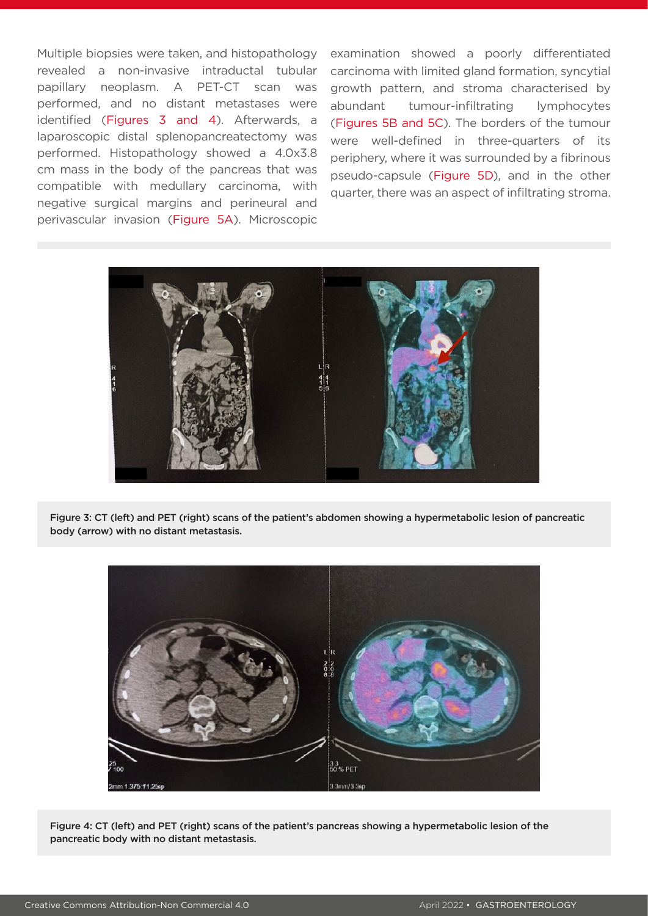Multiple biopsies were taken, and histopathology revealed a non-invasive intraductal tubular papillary neoplasm. A PET-CT scan was performed, and no distant metastases were identified (Figures 3 and 4). Afterwards, a laparoscopic distal splenopancreatectomy was performed. Histopathology showed a 4.0x3.8 cm mass in the body of the pancreas that was compatible with medullary carcinoma, with negative surgical margins and perineural and perivascular invasion (Figure 5A). Microscopic

examination showed a poorly differentiated carcinoma with limited gland formation, syncytial growth pattern, and stroma characterised by abundant tumour-infiltrating lymphocytes (Figures 5B and 5C). The borders of the tumour were well-defined in three-quarters of its periphery, where it was surrounded by a fibrinous pseudo-capsule (Figure 5D), and in the other quarter, there was an aspect of infiltrating stroma.



Figure 3: CT (left) and PET (right) scans of the patient's abdomen showing a hypermetabolic lesion of pancreatic body (arrow) with no distant metastasis.



Figure 4: CT (left) and PET (right) scans of the patient's pancreas showing a hypermetabolic lesion of the pancreatic body with no distant metastasis.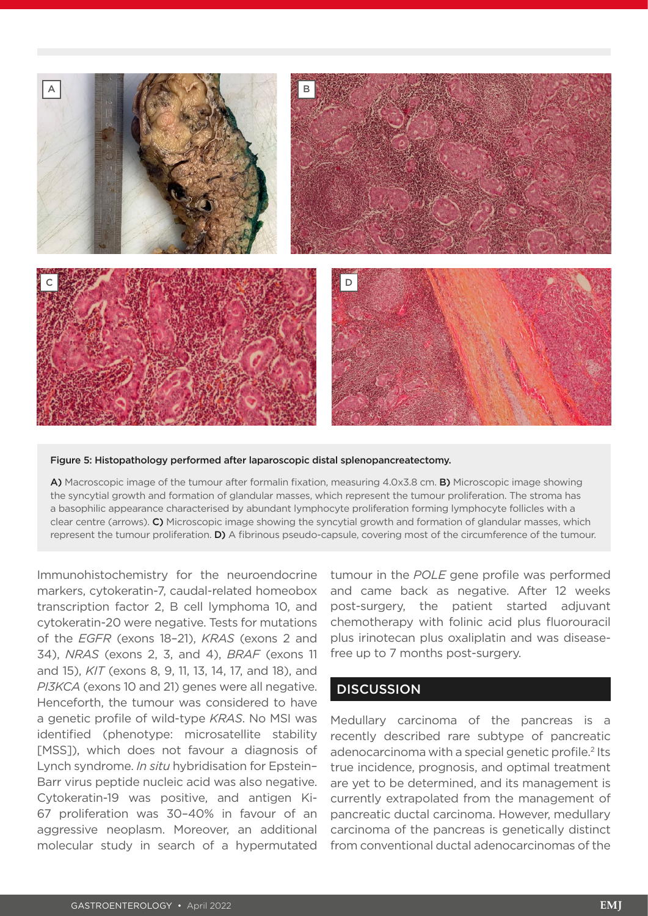

#### Figure 5: Histopathology performed after laparoscopic distal splenopancreatectomy.

A) Macroscopic image of the tumour after formalin fixation, measuring 4.0x3.8 cm. B) Microscopic image showing the syncytial growth and formation of glandular masses, which represent the tumour proliferation. The stroma has a basophilic appearance characterised by abundant lymphocyte proliferation forming lymphocyte follicles with a clear centre (arrows). C) Microscopic image showing the syncytial growth and formation of glandular masses, which represent the tumour proliferation. **D)** A fibrinous pseudo-capsule, covering most of the circumference of the tumour.

Immunohistochemistry for the neuroendocrine markers, cytokeratin-7, caudal-related homeobox transcription factor 2, B cell lymphoma 10, and cytokeratin-20 were negative. Tests for mutations of the *EGFR* (exons 18–21), *KRAS* (exons 2 and 34), *NRAS* (exons 2, 3, and 4), *BRAF* (exons 11 and 15), *KIT* (exons 8, 9, 11, 13, 14, 17, and 18), and *PI3KCA* (exons 10 and 21) genes were all negative. Henceforth, the tumour was considered to have a genetic profile of wild-type *KRAS*. No MSI was identified (phenotype: microsatellite stability [MSS]), which does not favour a diagnosis of Lynch syndrome. *In situ* hybridisation for Epstein– Barr virus peptide nucleic acid was also negative. Cytokeratin-19 was positive, and antigen Ki-67 proliferation was 30–40% in favour of an aggressive neoplasm. Moreover, an additional molecular study in search of a hypermutated

tumour in the *POLE* gene profile was performed and came back as negative. After 12 weeks post-surgery, the patient started adjuvant chemotherapy with folinic acid plus fluorouracil plus irinotecan plus oxaliplatin and was diseasefree up to 7 months post-surgery.

### **DISCUSSION**

Medullary carcinoma of the pancreas is a recently described rare subtype of pancreatic adenocarcinoma with a special genetic profile.<sup>2</sup> Its true incidence, prognosis, and optimal treatment are yet to be determined, and its management is currently extrapolated from the management of pancreatic ductal carcinoma. However, medullary carcinoma of the pancreas is genetically distinct from conventional ductal adenocarcinomas of the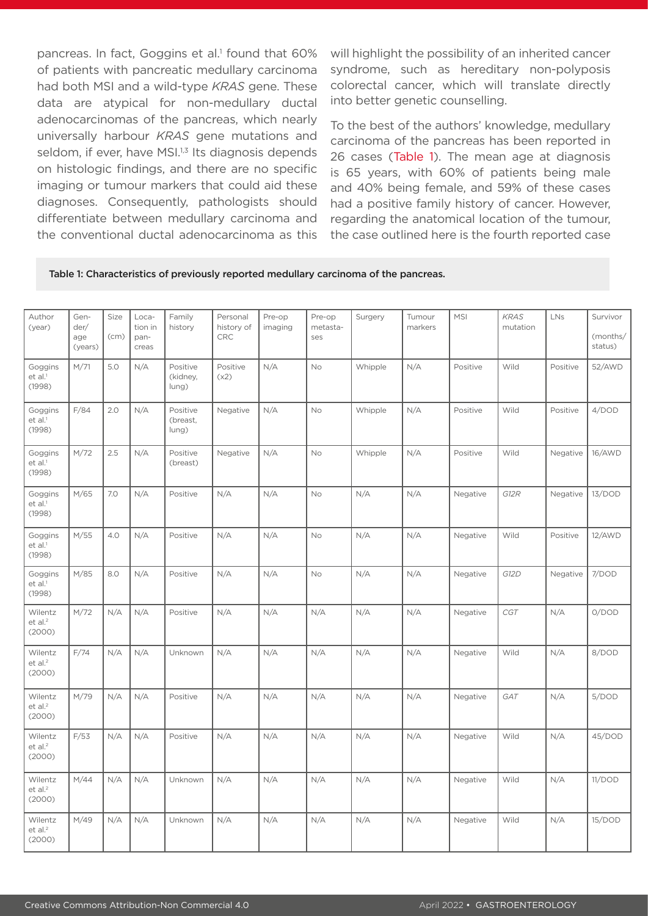pancreas. In fact, Goggins et al.<sup>1</sup> found that 60% of patients with pancreatic medullary carcinoma had both MSI and a wild-type *KRAS* gene. These data are atypical for non-medullary ductal adenocarcinomas of the pancreas, which nearly universally harbour *KRAS* gene mutations and seldom, if ever, have MSI.<sup>1,3</sup> Its diagnosis depends on histologic findings, and there are no specific imaging or tumour markers that could aid these diagnoses. Consequently, pathologists should differentiate between medullary carcinoma and the conventional ductal adenocarcinoma as this will highlight the possibility of an inherited cancer syndrome, such as hereditary non-polyposis colorectal cancer, which will translate directly into better genetic counselling.

To the best of the authors' knowledge, medullary carcinoma of the pancreas has been reported in 26 cases (Table 1). The mean age at diagnosis is 65 years, with 60% of patients being male and 40% being female, and 59% of these cases had a positive family history of cancer. However, regarding the anatomical location of the tumour, the case outlined here is the fourth reported case

#### Table 1: Characteristics of previously reported medullary carcinoma of the pancreas.

| Author<br>(year)                         | Gen-<br>der/<br>age<br>(years) | Size<br>(cm) | Loca-<br>tion in<br>pan-<br>creas | Family<br>history             | Personal<br>history of<br><b>CRC</b> | Pre-op<br>imaging | Pre-op<br>metasta-<br>ses | Surgery | Tumour<br>markers | <b>MSI</b> | <b>KRAS</b><br>mutation | LNs      | Survivor<br>(months/<br>status) |
|------------------------------------------|--------------------------------|--------------|-----------------------------------|-------------------------------|--------------------------------------|-------------------|---------------------------|---------|-------------------|------------|-------------------------|----------|---------------------------------|
| Goggins<br>et al. <sup>1</sup><br>(1998) | M/71                           | 5.0          | N/A                               | Positive<br>(kidney,<br>lung) | Positive<br>(x2)                     | N/A               | <b>No</b>                 | Whipple | N/A               | Positive   | Wild                    | Positive | 52/AWD                          |
| Goggins<br>et al. <sup>1</sup><br>(1998) | F/84                           | 2.0          | N/A                               | Positive<br>(breast,<br>lung) | Negative                             | N/A               | No                        | Whipple | N/A               | Positive   | Wild                    | Positive | 4/DOD                           |
| Goggins<br>et al. <sup>1</sup><br>(1998) | M/72                           | 2.5          | N/A                               | Positive<br>(breast)          | Negative                             | N/A               | No                        | Whipple | N/A               | Positive   | Wild                    | Negative | 16/AWD                          |
| Goggins<br>et al. <sup>1</sup><br>(1998) | M/65                           | 7.0          | N/A                               | Positive                      | N/A                                  | N/A               | No                        | N/A     | N/A               | Negative   | G12R                    | Negative | 13/DOD                          |
| Goggins<br>et al. <sup>1</sup><br>(1998) | M/55                           | 4.0          | N/A                               | Positive                      | N/A                                  | N/A               | No                        | N/A     | N/A               | Negative   | Wild                    | Positive | 12/AWD                          |
| Goggins<br>et al. <sup>1</sup><br>(1998) | M/85                           | 8.0          | N/A                               | Positive                      | N/A                                  | N/A               | <b>No</b>                 | N/A     | N/A               | Negative   | G12D                    | Negative | 7/DOD                           |
| Wilentz<br>et al. <sup>2</sup><br>(2000) | M/72                           | N/A          | N/A                               | Positive                      | N/A                                  | N/A               | N/A                       | N/A     | N/A               | Negative   | CGT                     | N/A      | O/DOD                           |
| Wilentz<br>et al. <sup>2</sup><br>(2000) | F/74                           | N/A          | N/A                               | Unknown                       | N/A                                  | N/A               | N/A                       | N/A     | N/A               | Negative   | Wild                    | N/A      | 8/DOD                           |
| Wilentz<br>$et$ al. $2$<br>(2000)        | M/79                           | N/A          | N/A                               | Positive                      | N/A                                  | N/A               | N/A                       | N/A     | N/A               | Negative   | GAT                     | N/A      | 5/DOD                           |
| Wilentz<br>$et$ al. $2$<br>(2000)        | F/53                           | N/A          | N/A                               | Positive                      | N/A                                  | N/A               | N/A                       | N/A     | N/A               | Negative   | Wild                    | N/A      | 45/DOD                          |
| Wilentz<br>$et$ al. $2$<br>(2000)        | M/44                           | N/A          | N/A                               | Unknown                       | N/A                                  | N/A               | N/A                       | N/A     | N/A               | Negative   | Wild                    | N/A      | 11/DOD                          |
| Wilentz<br>$et$ al. $2$<br>(2000)        | M/49                           | N/A          | N/A                               | Unknown                       | N/A                                  | N/A               | N/A                       | N/A     | N/A               | Negative   | Wild                    | N/A      | 15/DOD                          |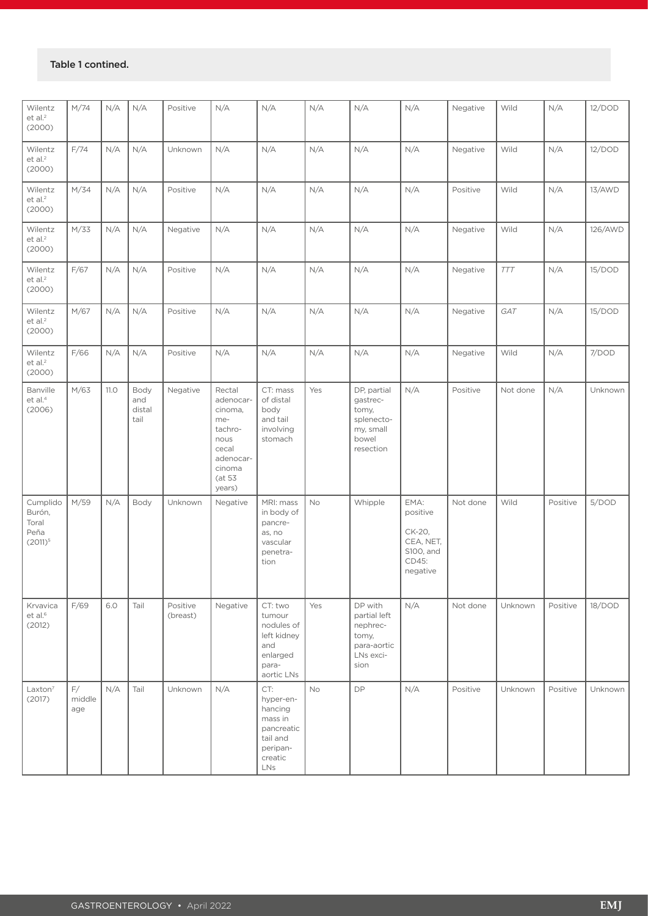#### Table 1 contined.

| Wilentz<br>et al. <sup>2</sup><br>(2000)          | M/74                | N/A         | N/A                           | Positive             | N/A                                                                                                          | N/A                                                                                                    | N/A       | N/A                                                                               | N/A                                                                       | Negative | Wild       | N/A      | 12/DOD  |
|---------------------------------------------------|---------------------|-------------|-------------------------------|----------------------|--------------------------------------------------------------------------------------------------------------|--------------------------------------------------------------------------------------------------------|-----------|-----------------------------------------------------------------------------------|---------------------------------------------------------------------------|----------|------------|----------|---------|
| Wilentz<br>et al. <sup>2</sup><br>(2000)          | F/74                | N/A         | N/A                           | Unknown              | N/A                                                                                                          | N/A                                                                                                    | N/A       | N/A                                                                               | N/A                                                                       | Negative | Wild       | N/A      | 12/DOD  |
| Wilentz<br>et al. <sup>2</sup><br>(2000)          | M/34                | N/A         | N/A                           | Positive             | N/A                                                                                                          | N/A                                                                                                    | N/A       | N/A                                                                               | N/A                                                                       | Positive | Wild       | N/A      | 13/AWD  |
| Wilentz<br>et al. <sup>2</sup><br>(2000)          | M/33                | N/A         | N/A                           | Negative             | N/A                                                                                                          | N/A                                                                                                    | N/A       | N/A                                                                               | N/A                                                                       | Negative | Wild       | N/A      | 126/AWD |
| Wilentz<br>et al. <sup>2</sup><br>(2000)          | F/67                | N/A         | N/A                           | Positive             | N/A                                                                                                          | N/A                                                                                                    | N/A       | N/A                                                                               | N/A                                                                       | Negative | <b>TTT</b> | N/A      | 15/DOD  |
| Wilentz<br>et al. <sup>2</sup><br>(2000)          | M/67                | N/A         | N/A                           | Positive             | N/A                                                                                                          | N/A                                                                                                    | N/A       | N/A                                                                               | N/A                                                                       | Negative | GAT        | N/A      | 15/DOD  |
| Wilentz<br>et al. <sup>2</sup><br>(2000)          | F/66                | N/A         | N/A                           | Positive             | N/A                                                                                                          | N/A                                                                                                    | N/A       | N/A                                                                               | N/A                                                                       | Negative | Wild       | N/A      | 7/DOD   |
| Banville<br>et al. <sup>4</sup><br>(2006)         | M/63                | <b>11.0</b> | Body<br>and<br>distal<br>tail | Negative             | Rectal<br>adenocar-<br>cinoma,<br>me-<br>tachro-<br>nous<br>cecal<br>adenocar-<br>cinoma<br>(at 53<br>years) | CT: mass<br>of distal<br>body<br>and tail<br>involving<br>stomach                                      | Yes       | DP, partial<br>gastrec-<br>tomy,<br>splenecto-<br>my, small<br>bowel<br>resection | N/A                                                                       | Positive | Not done   | N/A      | Unknown |
| Cumplido<br>Burón,<br>Toral<br>Peña<br>$(2011)^5$ | M/59                | N/A         | Body                          | Unknown              | Negative                                                                                                     | MRI: mass<br>in body of<br>pancre-<br>as, no<br>vascular<br>penetra-<br>tion                           | <b>No</b> | Whipple                                                                           | EMA:<br>positive<br>CK-20,<br>CEA, NET,<br>S100, and<br>CD45:<br>negative | Not done | Wild       | Positive | 5/DOD   |
| Krvavica<br>et al. <sup>6</sup><br>(2012)         | F/69                | 6.0         | Tail                          | Positive<br>(breast) | Negative                                                                                                     | CT: two<br>tumour<br>nodules of<br>left kidney<br>and<br>enlarged<br>para-<br>aortic LNs               | Yes       | DP with<br>partial left<br>nephrec-<br>tomy,<br>para-aortic<br>LNs exci-<br>sion  | N/A                                                                       | Not done | Unknown    | Positive | 18/DOD  |
| Laxton <sup>7</sup><br>(2017)                     | F/<br>middle<br>age | N/A         | Tail                          | Unknown              | N/A                                                                                                          | CT:<br>hyper-en-<br>hancing<br>mass in<br>pancreatic<br>tail and<br>peripan-<br>creatic<br>${\sf LNs}$ | <b>No</b> | <b>DP</b>                                                                         | N/A                                                                       | Positive | Unknown    | Positive | Unknown |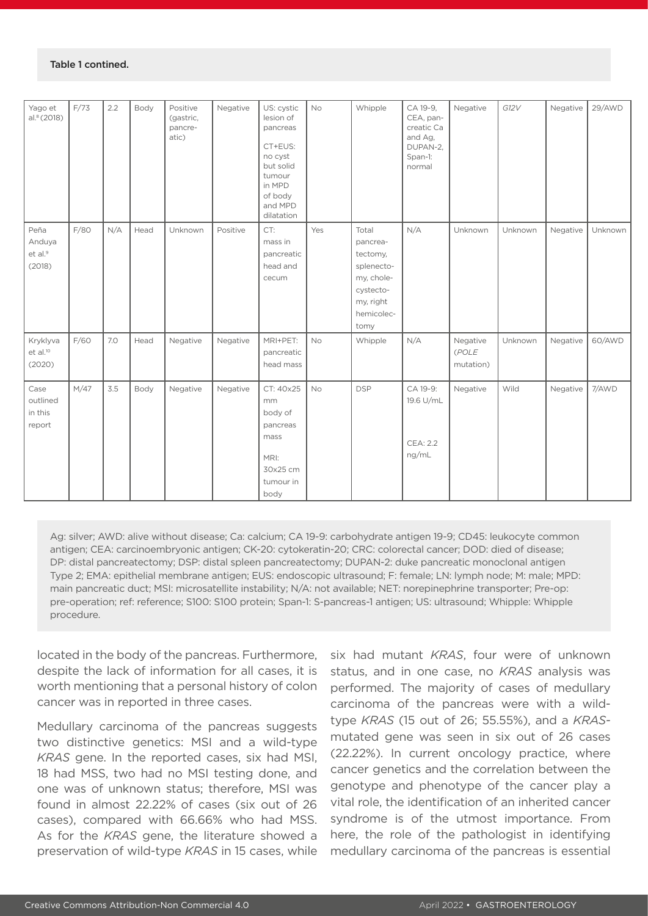| Yago et<br>al.8(2018)                           | F/73 | 2.2 | Body | Positive<br>(gastric,<br>pancre-<br>atic) | Negative | US: cystic<br>lesion of<br>pancreas<br>CT+EUS:<br>no cyst<br>but solid<br>tumour<br>in MPD<br>of body<br>and MPD<br>dilatation | No        | Whipple                                                                                                   | CA 19-9,<br>CEA, pan-<br>creatic Ca<br>and Ag,<br>DUPAN-2,<br>Span-1:<br>normal | Negative                       | G12V    | Negative | 29/AWD  |
|-------------------------------------------------|------|-----|------|-------------------------------------------|----------|--------------------------------------------------------------------------------------------------------------------------------|-----------|-----------------------------------------------------------------------------------------------------------|---------------------------------------------------------------------------------|--------------------------------|---------|----------|---------|
| Peña<br>Anduya<br>et al. <sup>9</sup><br>(2018) | F/80 | N/A | Head | Unknown                                   | Positive | CT:<br>mass in<br>pancreatic<br>head and<br>cecum                                                                              | Yes       | Total<br>pancrea-<br>tectomy,<br>splenecto-<br>my, chole-<br>cystecto-<br>my, right<br>hemicolec-<br>tomy | N/A                                                                             | Unknown                        | Unknown | Negative | Unknown |
| Kryklyva<br>et al. <sup>10</sup><br>(2020)      | F/60 | 7.0 | Head | Negative                                  | Negative | MRI+PET:<br>pancreatic<br>head mass                                                                                            | <b>No</b> | Whipple                                                                                                   | N/A                                                                             | Negative<br>(POLE<br>mutation) | Unknown | Negative | 60/AWD  |
| Case<br>outlined<br>in this<br>report           | M/47 | 3.5 | Body | Negative                                  | Negative | CT: 40x25<br>mm<br>body of<br>pancreas<br>mass<br>MRI:<br>30x25 cm<br>tumour in<br>body                                        | No        | <b>DSP</b>                                                                                                | CA 19-9:<br>19.6 U/mL<br><b>CEA: 2.2</b><br>ng/mL                               | Negative                       | Wild    | Negative | 7/AWD   |

Ag: silver; AWD: alive without disease; Ca: calcium; CA 19-9: carbohydrate antigen 19-9; CD45: leukocyte common antigen; CEA: carcinoembryonic antigen; CK-20: cytokeratin-20; CRC: colorectal cancer; DOD: died of disease; DP: distal pancreatectomy; DSP: distal spleen pancreatectomy; DUPAN-2: duke pancreatic monoclonal antigen Type 2; EMA: epithelial membrane antigen; EUS: endoscopic ultrasound; F: female; LN: lymph node; M: male; MPD: main pancreatic duct; MSI: microsatellite instability; N/A: not available; NET: norepinephrine transporter; Pre-op: pre-operation; ref: reference; S100: S100 protein; Span-1: S-pancreas-1 antigen; US: ultrasound; Whipple: Whipple procedure.

located in the body of the pancreas. Furthermore, despite the lack of information for all cases, it is worth mentioning that a personal history of colon cancer was in reported in three cases.

Medullary carcinoma of the pancreas suggests two distinctive genetics: MSI and a wild-type *KRAS* gene. In the reported cases, six had MSI, 18 had MSS, two had no MSI testing done, and one was of unknown status; therefore, MSI was found in almost 22.22% of cases (six out of 26 cases), compared with 66.66% who had MSS. As for the *KRAS* gene, the literature showed a preservation of wild-type *KRAS* in 15 cases, while

six had mutant *KRAS*, four were of unknown status, and in one case, no *KRAS* analysis was performed. The majority of cases of medullary carcinoma of the pancreas were with a wildtype *KRAS* (15 out of 26; 55.55%), and a *KRAS*mutated gene was seen in six out of 26 cases (22.22%). In current oncology practice, where cancer genetics and the correlation between the genotype and phenotype of the cancer play a vital role, the identification of an inherited cancer syndrome is of the utmost importance. From here, the role of the pathologist in identifying medullary carcinoma of the pancreas is essential